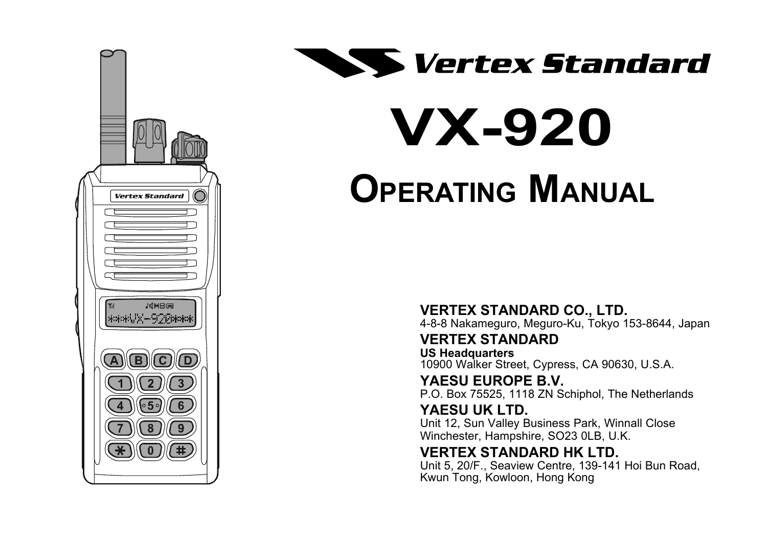



# **VX-920 OPERATING MANUAL**

**VERTEX STANDARD CO., LTD.**

4-8-8 Nakameguro, Meguro-Ku, Tokyo 153-8644, Japan

**VERTEX STANDARD**

**US Headquarters** 10900 Walker Street, Cypress, CA 90630, U.S.A.

**YAESU EUROPE B.V.** P.O. Box 75525, 1118 ZN Schiphol, The Netherlands

#### **YAESU UK LTD.**

Unit 12, Sun Valley Business Park, Winnall Close Winchester, Hampshire, SO23 0LB, U.K.

#### **VERTEX STANDARD HK LTD.**

Unit 5, 20/F., Seaview Centre, 139-141 Hoi Bun Road, Kwun Tong, Kowloon, Hong Kong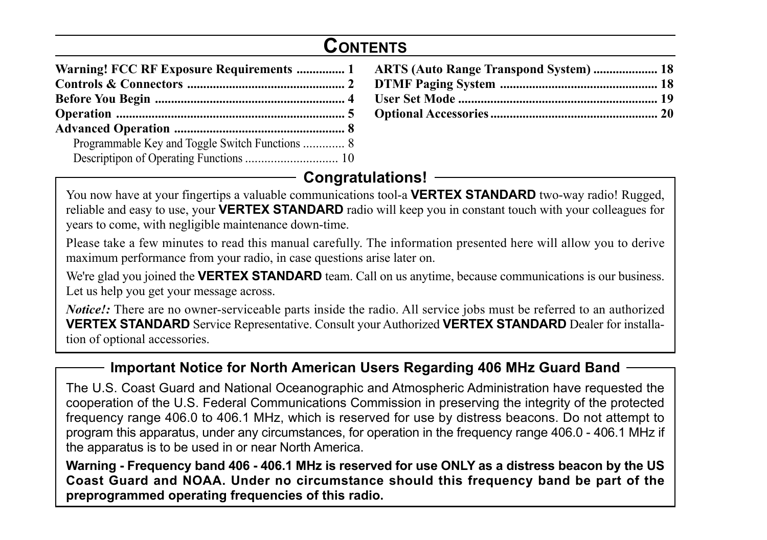## **CONTENTS**

| Warning! FCC RF Exposure Requirements  1 ARTS (Auto Range Transpond System)  18 |  |
|---------------------------------------------------------------------------------|--|
|                                                                                 |  |
|                                                                                 |  |
|                                                                                 |  |
|                                                                                 |  |
|                                                                                 |  |

#### **Congratulations!**

You now have at your fingertips a valuable communications tool-a **VERTEX STANDARD** two-way radio! Rugged, reliable and easy to use, your **VERTEX STANDARD** radio will keep you in constant touch with your colleagues for years to come, with negligible maintenance down-time.

Please take a few minutes to read this manual carefully. The information presented here will allow you to derive maximum performance from your radio, in case questions arise later on.

We're glad you joined the **VERTEX STANDARD** team. Call on us anytime, because communications is our business. Let us help you get your message across.

*Notice!:* There are no owner-serviceable parts inside the radio. All service jobs must be referred to an authorized **VERTEX STANDARD** Service Representative. Consult your Authorized **VERTEX STANDARD** Dealer for installation of optional accessories.

#### **Important Notice for North American Users Regarding 406 MHz Guard Band**

The U.S. Coast Guard and National Oceanographic and Atmospheric Administration have requested the cooperation of the U.S. Federal Communications Commission in preserving the integrity of the protected frequency range 406.0 to 406.1 MHz, which is reserved for use by distress beacons. Do not attempt to program this apparatus, under any circumstances, for operation in the frequency range 406.0 - 406.1 MHz if the apparatus is to be used in or near North America.

**Warning - Frequency band 406 - 406.1 MHz is reserved for use ONLY as a distress beacon by the US Coast Guard and NOAA. Under no circumstance should this frequency band be part of the preprogrammed operating frequencies of this radio.**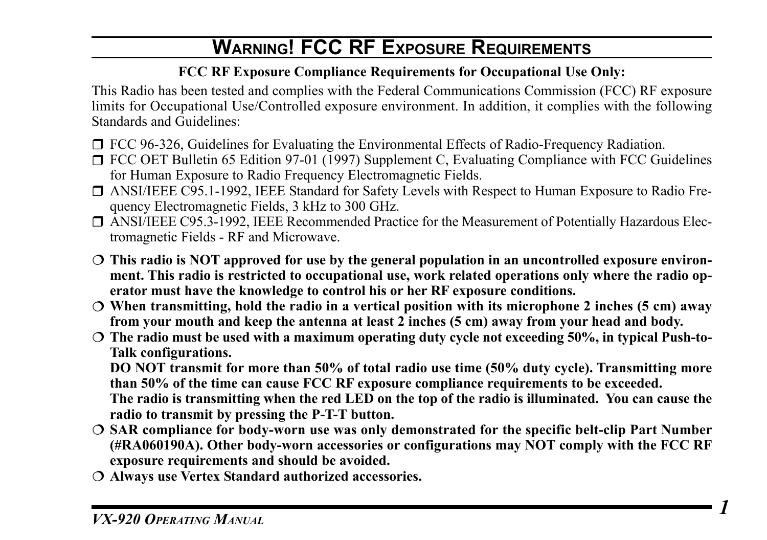# **WARNING! FCC RF EXPOSURE REQUIREMENTS**

#### **FCC RF Exposure Compliance Requirements for Occupational Use Only:**

This Radio has been tested and complies with the Federal Communications Commission (FCC) RF exposure limits for Occupational Use/Controlled exposure environment. In addition, it complies with the following Standards and Guidelines:

- □ FCC 96-326, Guidelines for Evaluating the Environmental Effects of Radio-Frequency Radiation.
- FCC OET Bulletin 65 Edition 97-01 (1997) Supplement C, Evaluating Compliance with FCC Guidelines for Human Exposure to Radio Frequency Electromagnetic Fields.
- ANSI/IEEE C95.1-1992, IEEE Standard for Safety Levels with Respect to Human Exposure to Radio Frequency Electromagnetic Fields, 3 kHz to 300 GHz.
- ANSI/IEEE C95.3-1992, IEEE Recommended Practice for the Measurement of Potentially Hazardous Electromagnetic Fields - RF and Microwave.
- **This radio is NOT approved for use by the general population in an uncontrolled exposure environment. This radio is restricted to occupational use, work related operations only where the radio operator must have the knowledge to control his or her RF exposure conditions.**
- **When transmitting, hold the radio in a vertical position with its microphone 2 inches (5 cm) away from your mouth and keep the antenna at least 2 inches (5 cm) away from your head and body.**
- **The radio must be used with a maximum operating duty cycle not exceeding 50%, in typical Push-to-Talk configurations.**

**DO NOT transmit for more than 50% of total radio use time (50% duty cycle). Transmitting more than 50% of the time can cause FCC RF exposure compliance requirements to be exceeded. The radio is transmitting when the red LED on the top of the radio is illuminated. You can cause the radio to transmit by pressing the P-T-T button.**

- **SAR compliance for body-worn use was only demonstrated for the specific belt-clip Part Number (#RA060190A). Other body-worn accessories or configurations may NOT comply with the FCC RF exposure requirements and should be avoided.**
- **Always use Vertex Standard authorized accessories.**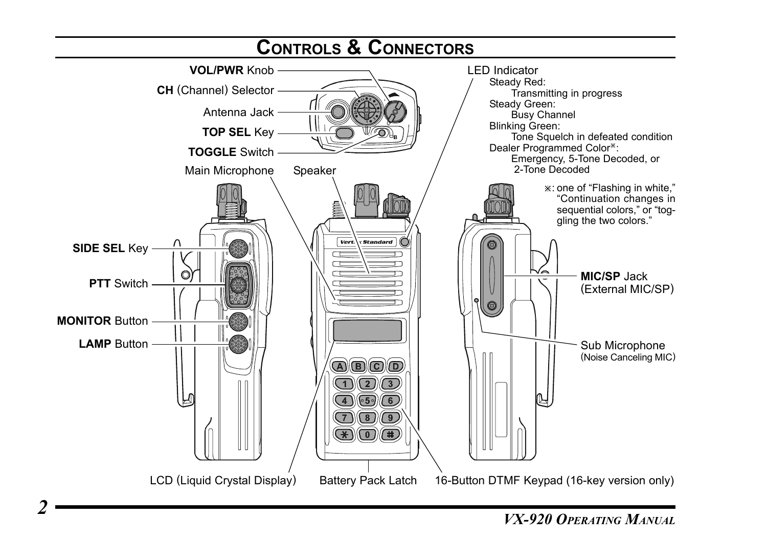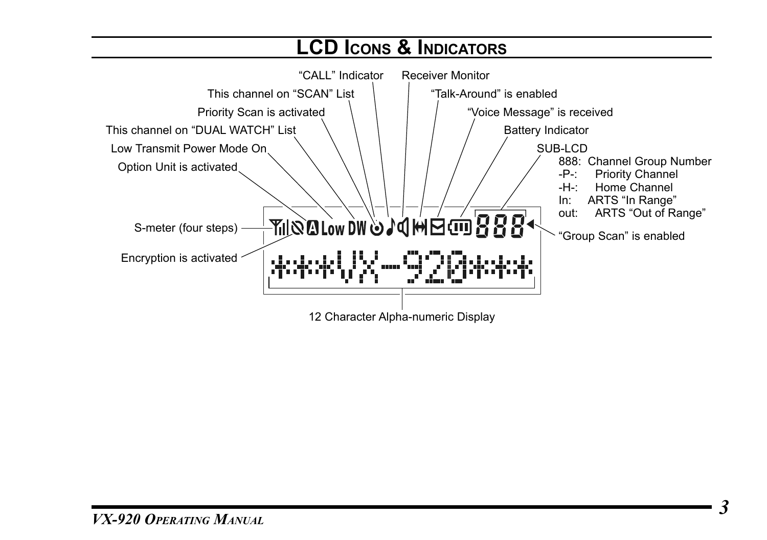#### **LCD ICONS & INDICATORS** "CALL" Indicator Receiver Monitor This channel on "SCAN" List "Talk-Around" is enabled Priority Scan is activated "Voice Message" is received This channel on "DUAL WATCH" List Battery Indicator Low Transmit Power Mode On SUB-LCD 888: Channel Group Number<br>-P-: Priority Channel Option Unit is activated -P-: Priority Channel<br>-H-: Home Channel Home Channel In: ARTS "In Range" out: ARTS "Out of Range" <sub>ॸ</sub>ॻॎॖख़ॻॎज़ॎफ़ॎॣॸॣॶॷऻॳख़ख़<u>ऻय़</u> S-meter (four steps) "Group Scan" is enabledEncryption is activated  $\langle \mathbf{L} \cdot \mathbf{L} \cdot \mathbf{L} \rangle$ ا منابع منابع ا 12 Character Alpha-numeric Display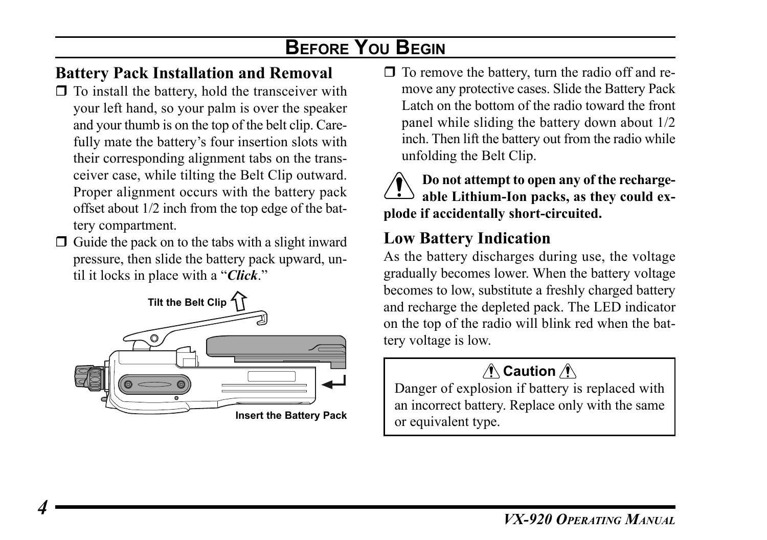# **BEFORE YOU BEGIN**

## **Battery Pack Installation and Removal**

- $\Box$  To install the battery, hold the transceiver with your left hand, so your palm is over the speaker and your thumb is on the top of the belt clip. Carefully mate the battery's four insertion slots with their corresponding alignment tabs on the transceiver case, while tilting the Belt Clip outward. Proper alignment occurs with the battery pack offset about 1/2 inch from the top edge of the battery compartment.
- $\Box$  Guide the pack on to the tabs with a slight inward pressure, then slide the battery pack upward, until it locks in place with a "*Click*."



 $\Box$  To remove the battery, turn the radio off and remove any protective cases. Slide the Battery Pack Latch on the bottom of the radio toward the front panel while sliding the battery down about 1/2 inch. Then lift the battery out from the radio while unfolding the Belt Clip.



#### **Do not attempt to open any of the rechargeable Lithium-Ion packs, as they could explode if accidentally short-circuited.**

## **Low Battery Indication**

As the battery discharges during use, the voltage gradually becomes lower. When the battery voltage becomes to low, substitute a freshly charged battery and recharge the depleted pack. The LED indicator on the top of the radio will blink red when the battery voltage is low.

## **∧ Caution** ∧

Danger of explosion if battery is replaced with an incorrect battery. Replace only with the same or equivalent type.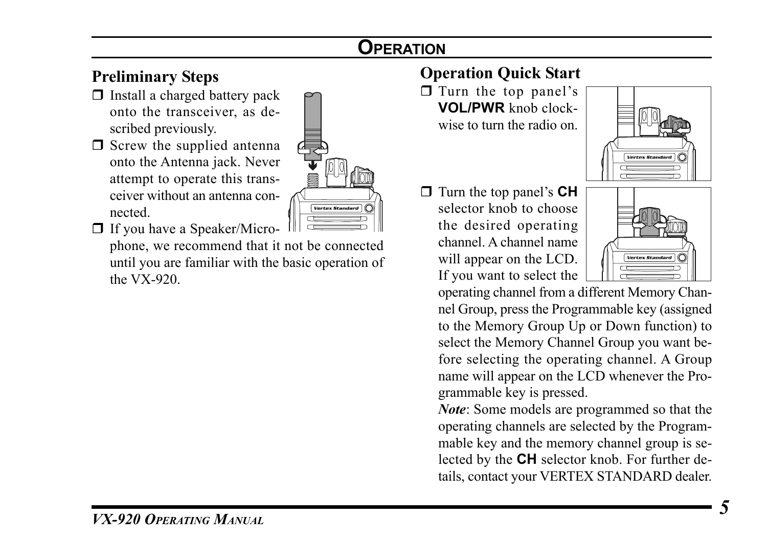# **OPERATION**

## **Preliminary Steps**

- $\Box$  Install a charged battery pack onto the transceiver, as described previously.
- $\Box$  Screw the supplied antenna onto the Antenna jack. Never attempt to operate this transceiver without an antenna connected.



If you have a Speaker/Micro-

phone, we recommend that it not be connected until you are familiar with the basic operation of the VX-920.

## **Operation Quick Start**

 $\Box$  Turn the top panel's **VOL/PWR** knob clockwise to turn the radio on.



 Turn the top panel's **CH** selector knob to choose the desired operating channel. A channel name will appear on the LCD. If you want to select the



operating channel from a different Memory Channel Group, press the Programmable key (assigned to the Memory Group Up or Down function) to select the Memory Channel Group you want before selecting the operating channel. A Group name will appear on the LCD whenever the Programmable key is pressed.

*Note*: Some models are programmed so that the operating channels are selected by the Programmable key and the memory channel group is selected by the **CH** selector knob. For further details, contact your VERTEX STANDARD dealer.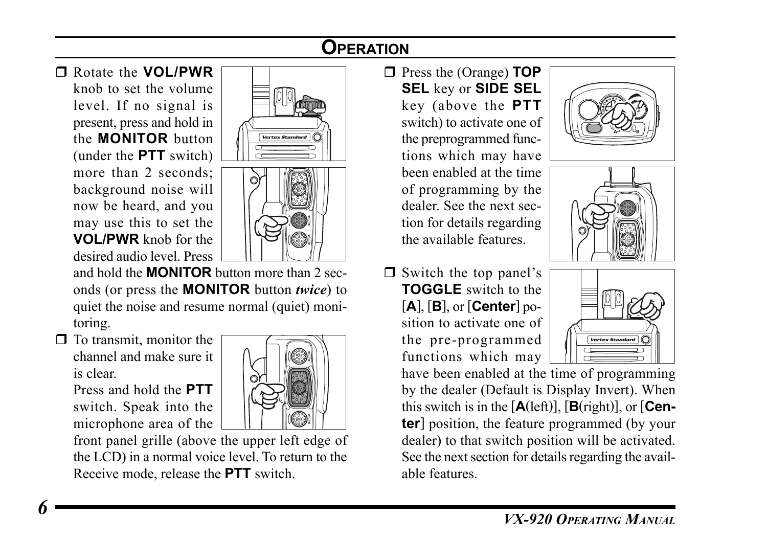# **OPERATION**

Rotate the **VOL/PWR**

knob to set the volume level. If no signal is present, press and hold in the **MONITOR** button (under the **PTT** switch) more than 2 seconds: background noise will now be heard, and you may use this to set the **VOL/PWR** knob for the desired audio level. Press





and hold the **MONITOR** button more than 2 seconds (or press the **MONITOR** button *twice*) to quiet the noise and resume normal (quiet) monitoring.

 $\Box$  To transmit, monitor the channel and make sure it is clear.

Press and hold the **PTT** switch. Speak into the microphone area of the



front panel grille (above the upper left edge of the LCD) in a normal voice level. To return to the Receive mode, release the **PTT** switch.

- Press the (Orange) **TOP SEL** key or **SIDE SEL** key (above the **PTT** switch) to activate one of the preprogrammed functions which may have been enabled at the time of programming by the dealer. See the next section for details regarding the available features.
- $\Box$  Switch the top panel's **TOGGLE** switch to the [**A**], [**B**], or [**Center**] position to activate one of the pre-programmed functions which may







have been enabled at the time of programming by the dealer (Default is Display Invert). When this switch is in the  $[A(\text{left})]$ ,  $[B(\text{right})]$ , or  $[Cen$ **ter**] position, the feature programmed (by your dealer) to that switch position will be activated. See the next section for details regarding the available features.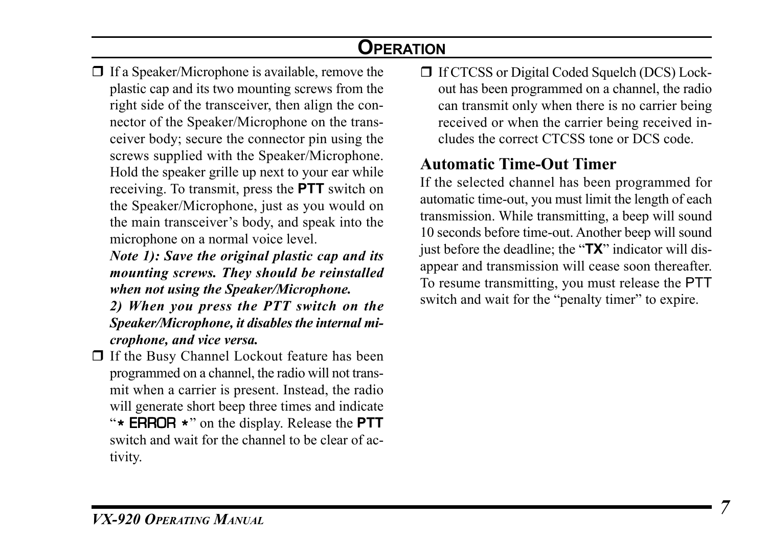# **OPERATION**

- $\Box$  If a Speaker/Microphone is available, remove the plastic cap and its two mounting screws from the right side of the transceiver, then align the connector of the Speaker/Microphone on the transceiver body; secure the connector pin using the screws supplied with the Speaker/Microphone. Hold the speaker grille up next to your ear while receiving. To transmit, press the **PTT** switch on the Speaker/Microphone, just as you would on the main transceiver's body, and speak into the microphone on a normal voice level.
	- *Note 1): Save the original plastic cap and its mounting screws. They should be reinstalled when not using the Speaker/Microphone.*
	- *2) When you press the PTT switch on the Speaker/Microphone, it disables the internal microphone, and vice versa.*
- $\Box$  If the Busy Channel Lockout feature has been programmed on a channel, the radio will not transmit when a carrier is present. Instead, the radio will generate short beep three times and indicate "\* ERROR \*" on the display. Release the **PTT** switch and wait for the channel to be clear of activity.

□ If CTCSS or Digital Coded Squelch (DCS) Lockout has been programmed on a channel, the radio can transmit only when there is no carrier being received or when the carrier being received includes the correct CTCSS tone or DCS code.

#### **Automatic Time-Out Timer**

If the selected channel has been programmed for automatic time-out, you must limit the length of each transmission. While transmitting, a beep will sound 10 seconds before time-out. Another beep will sound just before the deadline; the "**TX**" indicator will disappear and transmission will cease soon thereafter. To resume transmitting, you must release the PTT switch and wait for the "penalty timer" to expire.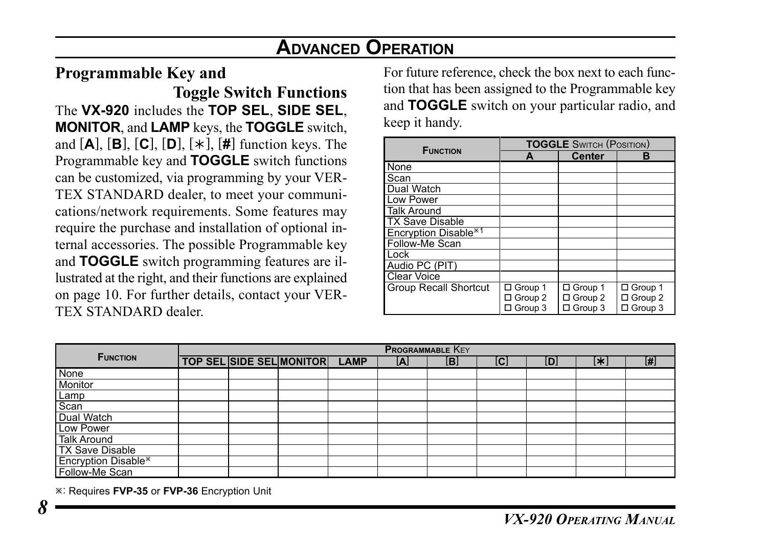#### **Programmable Key and**

**Toggle Switch Functions** The **VX-920** includes the **TOP SEL**, **SIDE SEL**, **MONITOR**, and **LAMP** keys, the **TOGGLE** switch, and [**A**], [**B**], [**C**], [**D**], [½], [**#**] function keys. The Programmable key and **TOGGLE** switch functions can be customized, via programming by your VER-TEX STANDARD dealer, to meet your communications/network requirements. Some features may require the purchase and installation of optional internal accessories. The possible Programmable key and **TOGGLE** switch programming features are illustrated at the right, and their functions are explained on page 10. For further details, contact your VER-TEX STANDARD dealer.

For future reference, check the box next to each function that has been assigned to the Programmable key and **TOGGLE** switch on your particular radio, and keep it handy.

| <b>FUNCTION</b>                  | <b>TOGGLE SWITCH (POSITION)</b> |                |           |  |  |  |  |  |
|----------------------------------|---------------------------------|----------------|-----------|--|--|--|--|--|
|                                  |                                 | Center         | R         |  |  |  |  |  |
| None                             |                                 |                |           |  |  |  |  |  |
| Scan                             |                                 |                |           |  |  |  |  |  |
| Dual Watch                       |                                 |                |           |  |  |  |  |  |
| Low Power                        |                                 |                |           |  |  |  |  |  |
| <b>Talk Around</b>               |                                 |                |           |  |  |  |  |  |
| <b>TX Save Disable</b>           |                                 |                |           |  |  |  |  |  |
| Encryption Disable <sup>*1</sup> |                                 |                |           |  |  |  |  |  |
| Follow-Me Scan                   |                                 |                |           |  |  |  |  |  |
| Lock                             |                                 |                |           |  |  |  |  |  |
| Audio PC (PIT)                   |                                 |                |           |  |  |  |  |  |
| <b>Clear Voice</b>               |                                 |                |           |  |  |  |  |  |
| <b>Group Recall Shortcut</b>     | □ Group 1                       | □ Group 1      | □ Group 1 |  |  |  |  |  |
|                                  | $\Box$ Group 2                  | $\Box$ Group 2 | □ Group 2 |  |  |  |  |  |
|                                  | □ Group 3                       | □ Group 3      | □ Group 3 |  |  |  |  |  |

|                                       | <b>PROGRAMMABLE KEY</b> |  |                                 |             |     |     |     |     |    |     |
|---------------------------------------|-------------------------|--|---------------------------------|-------------|-----|-----|-----|-----|----|-----|
| <b>FUNCTION</b>                       |                         |  | <b>TOP SEL SIDE SEL MONITOR</b> | <b>LAMP</b> | ΙAΙ | [B] | [C] | [D] | Œ. | [#] |
| None                                  |                         |  |                                 |             |     |     |     |     |    |     |
| Monitor<br>Lamp<br>Scan<br>Dual Watch |                         |  |                                 |             |     |     |     |     |    |     |
|                                       |                         |  |                                 |             |     |     |     |     |    |     |
|                                       |                         |  |                                 |             |     |     |     |     |    |     |
|                                       |                         |  |                                 |             |     |     |     |     |    |     |
| Low Power                             |                         |  |                                 |             |     |     |     |     |    |     |
| <b>Talk Around</b>                    |                         |  |                                 |             |     |     |     |     |    |     |
| <b>TX Save Disable</b>                |                         |  |                                 |             |     |     |     |     |    |     |
| Encryption Disable*                   |                         |  |                                 |             |     |     |     |     |    |     |
| Follow-Me Scan                        |                         |  |                                 |             |     |     |     |     |    |     |

 $*$ : Requires **FVP-35** or **FVP-36** Encryption Unit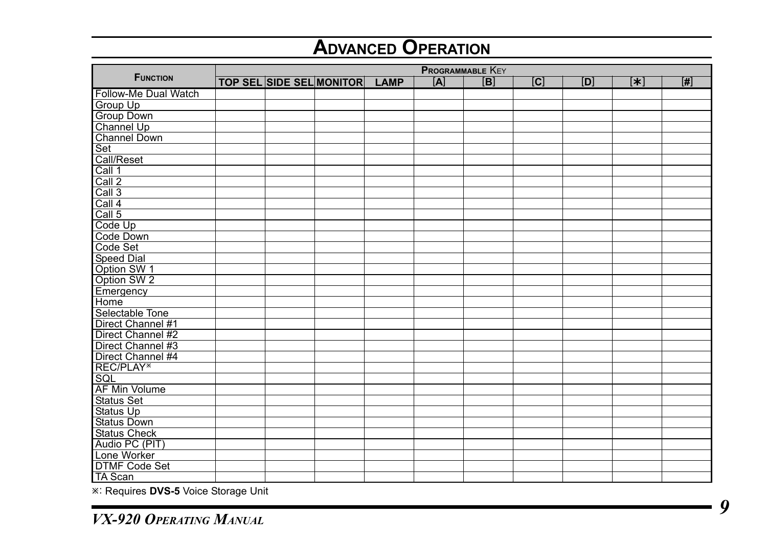|                       | <b>PROGRAMMABLE KEY</b> |  |                                 |             |     |                |   |     |                  |                |
|-----------------------|-------------------------|--|---------------------------------|-------------|-----|----------------|---|-----|------------------|----------------|
| <b>FUNCTION</b>       |                         |  | <b>TOP SEL SIDE SEL MONITOR</b> | <b>LAMP</b> | [A] | $\overline{B}$ | C | [D] | $\overline{[*]}$ | $\overline{H}$ |
| Follow-Me Dual Watch  |                         |  |                                 |             |     |                |   |     |                  |                |
| Group Up              |                         |  |                                 |             |     |                |   |     |                  |                |
| Group Down            |                         |  |                                 |             |     |                |   |     |                  |                |
| Channel Up            |                         |  |                                 |             |     |                |   |     |                  |                |
| Channel Down          |                         |  |                                 |             |     |                |   |     |                  |                |
| Set                   |                         |  |                                 |             |     |                |   |     |                  |                |
| Call/Reset            |                         |  |                                 |             |     |                |   |     |                  |                |
| Call 1                |                         |  |                                 |             |     |                |   |     |                  |                |
| Call 2                |                         |  |                                 |             |     |                |   |     |                  |                |
| Call 3                |                         |  |                                 |             |     |                |   |     |                  |                |
| Call 4                |                         |  |                                 |             |     |                |   |     |                  |                |
| Call 5                |                         |  |                                 |             |     |                |   |     |                  |                |
| Code Up               |                         |  |                                 |             |     |                |   |     |                  |                |
| Code Down             |                         |  |                                 |             |     |                |   |     |                  |                |
| Code Set              |                         |  |                                 |             |     |                |   |     |                  |                |
| Speed Dial            |                         |  |                                 |             |     |                |   |     |                  |                |
| Option SW 1           |                         |  |                                 |             |     |                |   |     |                  |                |
| Option SW 2           |                         |  |                                 |             |     |                |   |     |                  |                |
| Emergency             |                         |  |                                 |             |     |                |   |     |                  |                |
| Home                  |                         |  |                                 |             |     |                |   |     |                  |                |
| Selectable Tone       |                         |  |                                 |             |     |                |   |     |                  |                |
| Direct Channel #1     |                         |  |                                 |             |     |                |   |     |                  |                |
| Direct Channel #2     |                         |  |                                 |             |     |                |   |     |                  |                |
| Direct Channel #3     |                         |  |                                 |             |     |                |   |     |                  |                |
| Direct Channel #4     |                         |  |                                 |             |     |                |   |     |                  |                |
| REC/PLAY <sup>*</sup> |                         |  |                                 |             |     |                |   |     |                  |                |
| SQL                   |                         |  |                                 |             |     |                |   |     |                  |                |
| <b>AF Min Volume</b>  |                         |  |                                 |             |     |                |   |     |                  |                |
| Status Set            |                         |  |                                 |             |     |                |   |     |                  |                |
| Status Up             |                         |  |                                 |             |     |                |   |     |                  |                |
| <b>Status Down</b>    |                         |  |                                 |             |     |                |   |     |                  |                |
| Status Check          |                         |  |                                 |             |     |                |   |     |                  |                |
| Audio PC (PIT)        |                         |  |                                 |             |     |                |   |     |                  |                |
| Lone Worker           |                         |  |                                 |             |     |                |   |     |                  |                |
| <b>DTMF Code Set</b>  |                         |  |                                 |             |     |                |   |     |                  |                |
| <b>TA Scan</b>        |                         |  |                                 |             |     |                |   |     |                  |                |

**E: Requires DVS-5** Voice Storage Unit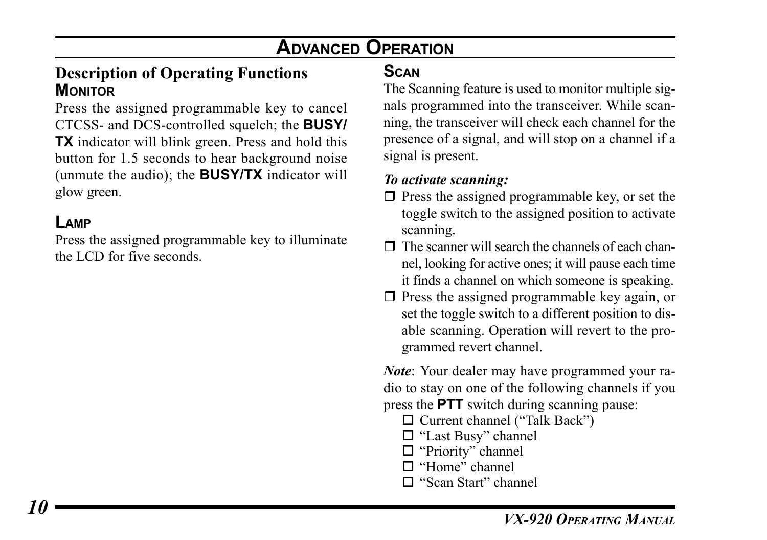#### **Description of Operating Functions MONITOR**

Press the assigned programmable key to cancel CTCSS- and DCS-controlled squelch; the **BUSY/ TX** indicator will blink green. Press and hold this button for 1.5 seconds to hear background noise (unmute the audio); the **BUSY/TX** indicator will glow green.

#### **LAMP**

Press the assigned programmable key to illuminate the LCD for five seconds.

#### **SCAN**

The Scanning feature is used to monitor multiple signals programmed into the transceiver. While scanning, the transceiver will check each channel for the presence of a signal, and will stop on a channel if a signal is present.

#### *To activate scanning:*

- $\Box$  Press the assigned programmable key, or set the toggle switch to the assigned position to activate scanning.
- $\Box$  The scanner will search the channels of each channel, looking for active ones; it will pause each time it finds a channel on which someone is speaking.
- $\Box$  Press the assigned programmable key again, or set the toggle switch to a different position to disable scanning. Operation will revert to the programmed revert channel.

*Note*: Your dealer may have programmed your radio to stay on one of the following channels if you press the **PTT** switch during scanning pause:

- Current channel ("Talk Back")
- □ "Last Busy" channel
- □ "Priority" channel
- $\Box$  "Home" channel
- □ "Scan Start" channel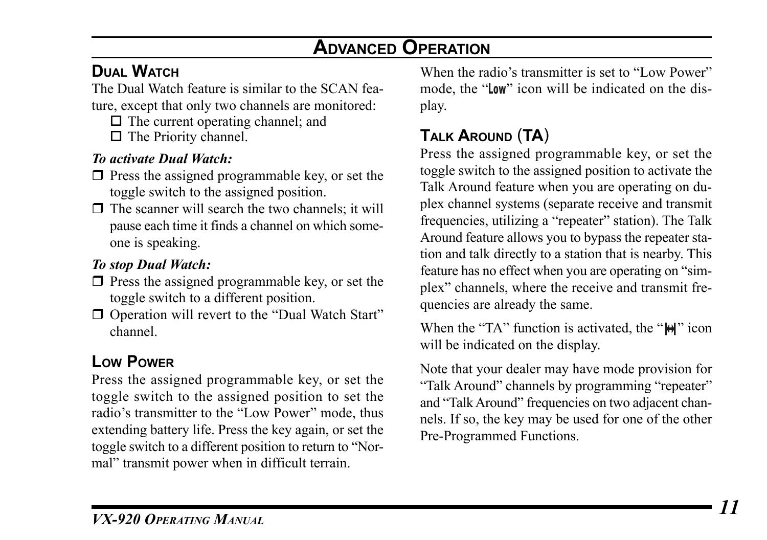## **DUAL WATCH**

The Dual Watch feature is similar to the SCAN feature, except that only two channels are monitored:

- $\Box$  The current operating channel; and
- $\Box$  The Priority channel.

#### *To activate Dual Watch:*

- $\Box$  Press the assigned programmable key, or set the toggle switch to the assigned position.
- $\Box$  The scanner will search the two channels; it will pause each time it finds a channel on which someone is speaking.

#### *To stop Dual Watch:*

- $\Box$  Press the assigned programmable key, or set the toggle switch to a different position.
- □ Operation will revert to the "Dual Watch Start" channel.

## **LOW POWER**

Press the assigned programmable key, or set the toggle switch to the assigned position to set the radio's transmitter to the "Low Power" mode, thus extending battery life. Press the key again, or set the toggle switch to a different position to return to "Normal" transmit power when in difficult terrain.

When the radio's transmitter is set to "Low Power" mode, the "**Low**" icon will be indicated on the display.

## **TALK AROUND** (**TA**)

Press the assigned programmable key, or set the toggle switch to the assigned position to activate the Talk Around feature when you are operating on duplex channel systems (separate receive and transmit frequencies, utilizing a "repeater" station). The Talk Around feature allows you to bypass the repeater station and talk directly to a station that is nearby. This feature has no effect when you are operating on "simplex" channels, where the receive and transmit frequencies are already the same.

When the "TA" function is activated, the " $H''$  icon will be indicated on the display.

Note that your dealer may have mode provision for "Talk Around" channels by programming "repeater" and "Talk Around" frequencies on two adjacent channels. If so, the key may be used for one of the other Pre-Programmed Functions.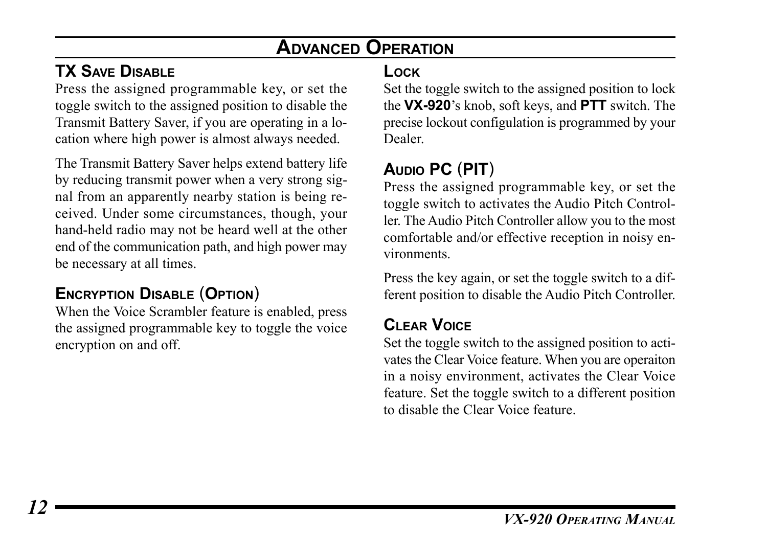## **TX SAVE DISABLE**

Press the assigned programmable key, or set the toggle switch to the assigned position to disable the Transmit Battery Saver, if you are operating in a location where high power is almost always needed.

The Transmit Battery Saver helps extend battery life by reducing transmit power when a very strong signal from an apparently nearby station is being received. Under some circumstances, though, your hand-held radio may not be heard well at the other end of the communication path, and high power may be necessary at all times.

## **ENCRYPTION DISABLE** (**OPTION**)

When the Voice Scrambler feature is enabled, press the assigned programmable key to toggle the voice encryption on and off.

#### **LOCK**

Set the toggle switch to the assigned position to lock the **VX-920**'s knob, soft keys, and **PTT** switch. The precise lockout configulation is programmed by your Dealer.

## **AUDIO PC** (**PIT**)

Press the assigned programmable key, or set the toggle switch to activates the Audio Pitch Controller. The Audio Pitch Controller allow you to the most comfortable and/or effective reception in noisy environments.

Press the key again, or set the toggle switch to a different position to disable the Audio Pitch Controller.

#### **CLEAR VOICE**

Set the toggle switch to the assigned position to activates the Clear Voice feature. When you are operaiton in a noisy environment, activates the Clear Voice feature. Set the toggle switch to a different position to disable the Clear Voice feature.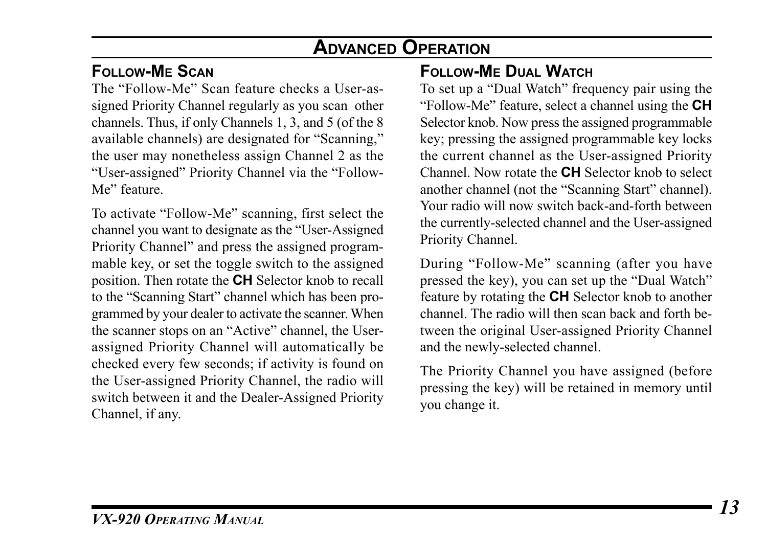#### **FOLLOW-ME SCAN**

The "Follow-Me" Scan feature checks a User-assigned Priority Channel regularly as you scan other channels. Thus, if only Channels 1, 3, and 5 (of the 8 available channels) are designated for "Scanning," the user may nonetheless assign Channel 2 as the "User-assigned" Priority Channel via the "Follow-Me" feature.

To activate "Follow-Me" scanning, first select the channel you want to designate as the "User-Assigned Priority Channel" and press the assigned programmable key, or set the toggle switch to the assigned position. Then rotate the **CH** Selector knob to recall to the "Scanning Start" channel which has been programmed by your dealer to activate the scanner. When the scanner stops on an "Active" channel, the Userassigned Priority Channel will automatically be checked every few seconds; if activity is found on the User-assigned Priority Channel, the radio will switch between it and the Dealer-Assigned Priority Channel, if any.

## **FOLLOW-ME DUAL WATCH**

To set up a "Dual Watch" frequency pair using the "Follow-Me" feature, select a channel using the **CH** Selector knob. Now press the assigned programmable key; pressing the assigned programmable key locks the current channel as the User-assigned Priority Channel. Now rotate the **CH** Selector knob to select another channel (not the "Scanning Start" channel). Your radio will now switch back-and-forth between the currently-selected channel and the User-assigned Priority Channel.

During "Follow-Me" scanning (after you have pressed the key), you can set up the "Dual Watch" feature by rotating the **CH** Selector knob to another channel. The radio will then scan back and forth between the original User-assigned Priority Channel and the newly-selected channel.

The Priority Channel you have assigned (before pressing the key) will be retained in memory until you change it.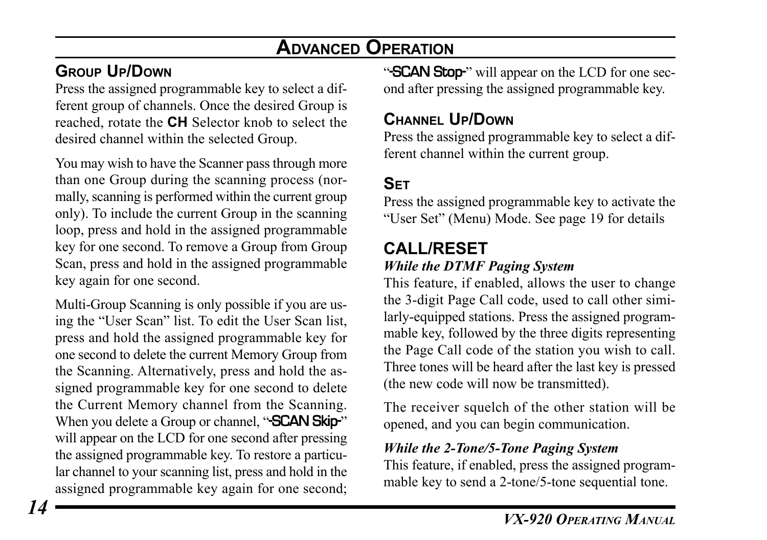## **GROUP UP/DOWN**

Press the assigned programmable key to select a different group of channels. Once the desired Group is reached, rotate the **CH** Selector knob to select the desired channel within the selected Group.

You may wish to have the Scanner pass through more than one Group during the scanning process (normally, scanning is performed within the current group only). To include the current Group in the scanning loop, press and hold in the assigned programmable key for one second. To remove a Group from Group Scan, press and hold in the assigned programmable key again for one second.

Multi-Group Scanning is only possible if you are using the "User Scan" list. To edit the User Scan list, press and hold the assigned programmable key for one second to delete the current Memory Group from the Scanning. Alternatively, press and hold the assigned programmable key for one second to delete the Current Memory channel from the Scanning. When you delete a Group or channel, "**SCAN Skip-**" will appear on the LCD for one second after pressing the assigned programmable key. To restore a particular channel to your scanning list, press and hold in the assigned programmable key again for one second;

"SCAN Stop" will appear on the LCD for one second after pressing the assigned programmable key.

#### **CHANNEL UP/DOWN**

Press the assigned programmable key to select a different channel within the current group.

## **SET**

Press the assigned programmable key to activate the "User Set" (Menu) Mode. See page 19 for details

#### **CALL/RESET** *While the DTMF Paging System*

This feature, if enabled, allows the user to change the 3-digit Page Call code, used to call other similarly-equipped stations. Press the assigned programmable key, followed by the three digits representing the Page Call code of the station you wish to call. Three tones will be heard after the last key is pressed (the new code will now be transmitted).

The receiver squelch of the other station will be opened, and you can begin communication.

#### *While the 2-Tone/5-Tone Paging System*

This feature, if enabled, press the assigned programmable key to send a 2-tone/5-tone sequential tone.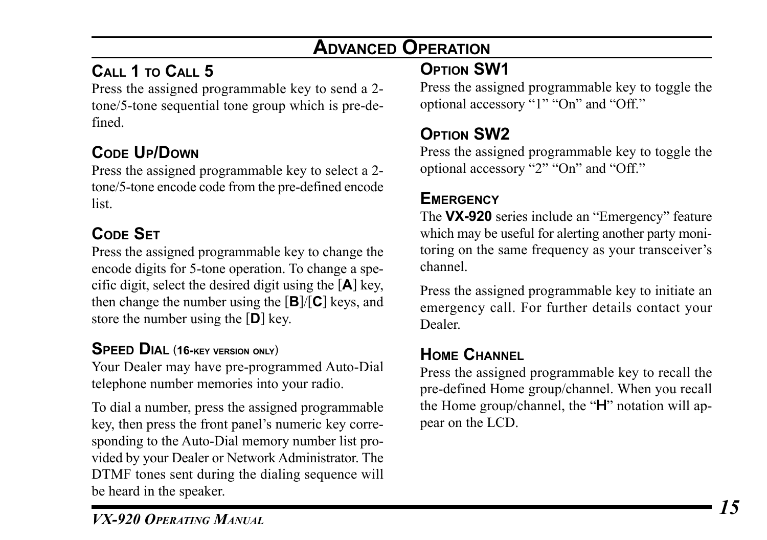## **CALL 1 TO CALL 5**

Press the assigned programmable key to send a 2 tone/5-tone sequential tone group which is pre-defined.

## **CODE UP/DOWN**

Press the assigned programmable key to select a 2 tone/5-tone encode code from the pre-defined encode list.

## **CODE SET**

Press the assigned programmable key to change the encode digits for 5-tone operation. To change a specific digit, select the desired digit using the [**A**] key, then change the number using the [**B**]/[**C**] keys, and store the number using the [**D**] key.

#### **SPEED DIAL** (**16-KEY VERSION ONLY**)

Your Dealer may have pre-programmed Auto-Dial telephone number memories into your radio.

To dial a number, press the assigned programmable key, then press the front panel's numeric key corresponding to the Auto-Dial memory number list provided by your Dealer or Network Administrator. The DTMF tones sent during the dialing sequence will be heard in the speaker.

# **OPTION SW1**

Press the assigned programmable key to toggle the optional accessory "1" "On" and "Off."

## **OPTION SW2**

Press the assigned programmable key to toggle the optional accessory "2" "On" and "Off."

## **EMERGENCY**

The **VX-920** series include an "Emergency" feature which may be useful for alerting another party monitoring on the same frequency as your transceiver's channel.

Press the assigned programmable key to initiate an emergency call. For further details contact your Dealer.

## **HOME CHANNEL**

Press the assigned programmable key to recall the pre-defined Home group/channel. When you recall the Home group/channel, the "H" notation will appear on the LCD.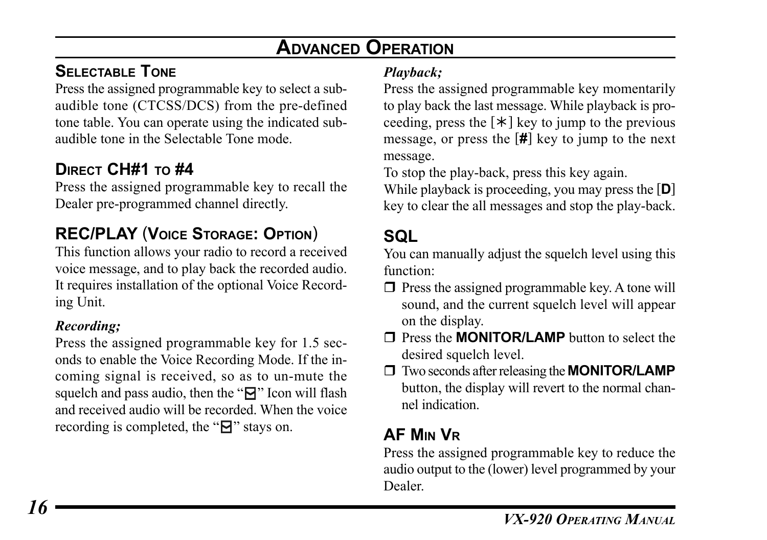## **SELECTABLE TONE**

Press the assigned programmable key to select a subaudible tone (CTCSS/DCS) from the pre-defined tone table. You can operate using the indicated subaudible tone in the Selectable Tone mode.

## **DIRECT CH#1 TO #4**

Press the assigned programmable key to recall the Dealer pre-programmed channel directly.

## **REC/PLAY** (**VOICE STORAGE: OPTION**)

This function allows your radio to record a received voice message, and to play back the recorded audio. It requires installation of the optional Voice Recording Unit.

#### *Recording;*

Press the assigned programmable key for 1.5 seconds to enable the Voice Recording Mode. If the incoming signal is received, so as to un-mute the squelch and pass audio, then the " $\Box$ " Icon will flash and received audio will be recorded. When the voice recording is completed, the " $\mathbf{a}$ " stays on.

#### *Playback;*

Press the assigned programmable key momentarily to play back the last message. While playback is proceeding, press the  $[\ast]$  key to jump to the previous message, or press the [**#**] key to jump to the next message.

To stop the play-back, press this key again.

While playback is proceeding, you may press the [**D**] key to clear the all messages and stop the play-back.

# **SQL**

You can manually adjust the squelch level using this function:

- $\Box$  Press the assigned programmable key. A tone will sound, and the current squelch level will appear on the display.
- **T** Press the **MONITOR/LAMP** button to select the desired squelch level.
- Two seconds after releasing the **MONITOR/LAMP** button, the display will revert to the normal channel indication.

## **AF MIN VR**

Press the assigned programmable key to reduce the audio output to the (lower) level programmed by your Dealer.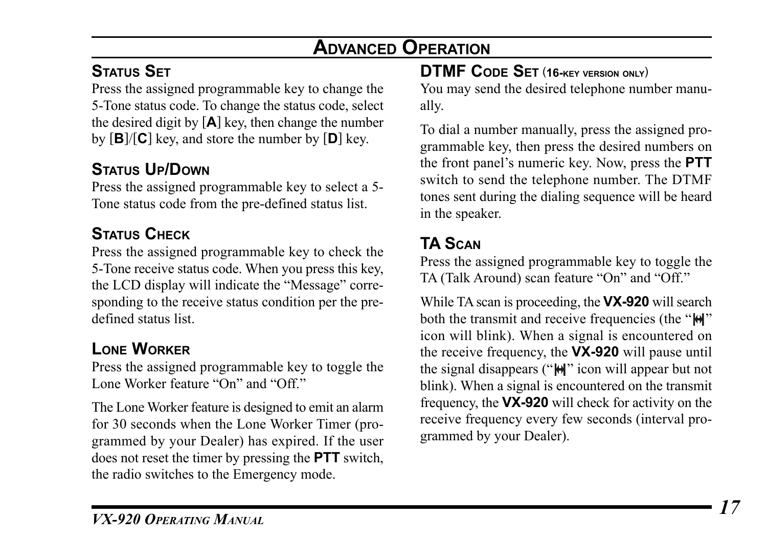## **STATUS SET**

Press the assigned programmable key to change the 5-Tone status code. To change the status code, select the desired digit by [**A**] key, then change the number by [**B**]/[**C**] key, and store the number by [**D**] key.

## **STATUS UP/DOWN**

Press the assigned programmable key to select a 5- Tone status code from the pre-defined status list.

## **STATUS CHECK**

Press the assigned programmable key to check the 5-Tone receive status code. When you press this key, the LCD display will indicate the "Message" corresponding to the receive status condition per the predefined status list.

## **LONE WORKER**

Press the assigned programmable key to toggle the Lone Worker feature "On" and "Off."

The Lone Worker feature is designed to emit an alarm for 30 seconds when the Lone Worker Timer (programmed by your Dealer) has expired. If the user does not reset the timer by pressing the **PTT** switch, the radio switches to the Emergency mode.

## **DTMF CODE SET** (**16-KEY VERSION ONLY**)

You may send the desired telephone number manually.

To dial a number manually, press the assigned programmable key, then press the desired numbers on the front panel's numeric key. Now, press the **PTT** switch to send the telephone number. The DTMF tones sent during the dialing sequence will be heard in the speaker.

## **TA SCAN**

Press the assigned programmable key to toggle the TA (Talk Around) scan feature "On" and "Off."

While TA scan is proceeding, the **VX-920** will search both the transmit and receive frequencies (the " $\mathbf{H}$ " icon will blink). When a signal is encountered on the receive frequency, the **VX-920** will pause until the signal disappears (" $\Theta$ " icon will appear but not blink). When a signal is encountered on the transmit frequency, the **VX-920** will check for activity on the receive frequency every few seconds (interval programmed by your Dealer).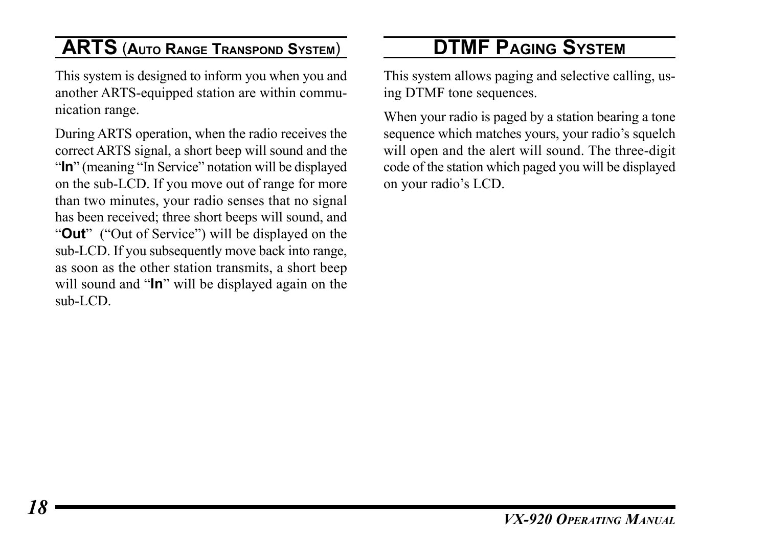## **ARTS** (**AUTO RANGE TRANSPOND SYSTEM**)

This system is designed to inform you when you and another ARTS-equipped station are within communication range.

During ARTS operation, when the radio receives the correct ARTS signal, a short beep will sound and the "In" (meaning "In Service" notation will be displayed on the sub-LCD. If you move out of range for more than two minutes, your radio senses that no signal has been received; three short beeps will sound, and "**Out**" ("Out of Service") will be displayed on the sub-LCD. If you subsequently move back into range, as soon as the other station transmits, a short beep will sound and "**In**" will be displayed again on the sub-LCD.

# **DTMF PAGING SYSTEM**

This system allows paging and selective calling, using DTMF tone sequences.

When your radio is paged by a station bearing a tone sequence which matches yours, your radio's squelch will open and the alert will sound. The three-digit code of the station which paged you will be displayed on your radio's LCD.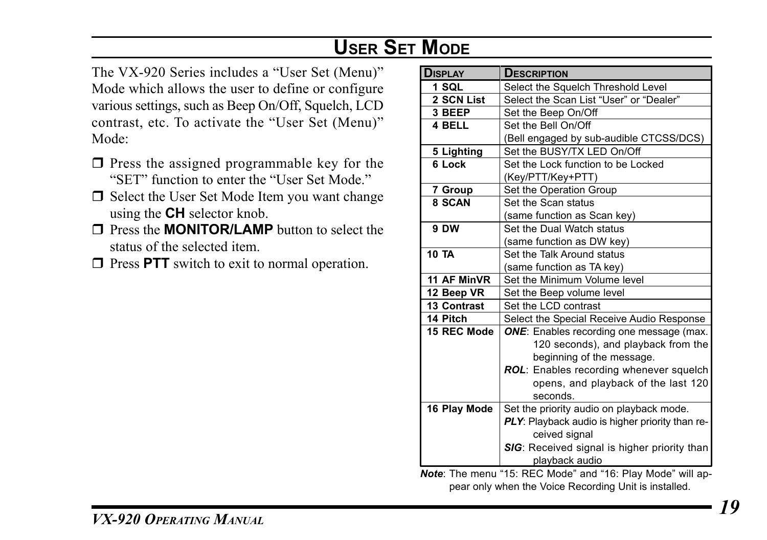# **USER SET MODE**

The VX-920 Series includes a "User Set (Menu)" Mode which allows the user to define or configure various settings, such as Beep On/Off, Squelch, LCD contrast, etc. To activate the "User Set (Menu)" Mode:

- $\Box$  Press the assigned programmable key for the "SET" function to enter the "User Set Mode."
- $\Box$  Select the User Set Mode Item you want change using the **CH** selector knob.
- **T** Press the **MONITOR/LAMP** button to select the status of the selected item.
- $\Box$  Press **PTT** switch to exit to normal operation.

| Display            | <b>DESCRIPTION</b>                              |
|--------------------|-------------------------------------------------|
| 1 SQL              | Select the Squelch Threshold Level              |
| 2 SCN List         | Select the Scan List "User" or "Dealer"         |
| 3 BEEP             | Set the Beep On/Off                             |
| 4 BELL             | Set the Bell On/Off                             |
|                    | (Bell engaged by sub-audible CTCSS/DCS)         |
| 5 Lighting         | Set the BUSY/TX LED On/Off                      |
| 6 Lock             | Set the Lock function to be Locked              |
|                    | (Key/PTT/Key+PTT)                               |
| 7 Group            | Set the Operation Group                         |
| 8 SCAN             | Set the Scan status                             |
|                    | (same function as Scan key)                     |
| 9 DW               | Set the Dual Watch status                       |
|                    | (same function as DW key)                       |
| <b>10 TA</b>       | Set the Talk Around status                      |
|                    | (same function as TA key)                       |
| 11 AF MinVR        | Set the Minimum Volume level                    |
| 12 Beep VR         | Set the Beep volume level                       |
| <b>13 Contrast</b> | Set the LCD contrast                            |
| 14 Pitch           | Select the Special Receive Audio Response       |
| 15 REC Mode        | <b>ONE:</b> Enables recording one message (max. |
|                    | 120 seconds), and playback from the             |
|                    | beginning of the message.                       |
|                    | ROL: Enables recording whenever squelch         |
|                    | opens, and playback of the last 120             |
|                    | seconds.                                        |
| 16 Play Mode       | Set the priority audio on playback mode.        |
|                    | PLY: Playback audio is higher priority than re- |
|                    | ceived signal                                   |
|                    | SIG: Received signal is higher priority than    |
|                    | playback audio                                  |

*Note*: The menu "15: REC Mode" and "16: Play Mode" will appear only when the Voice Recording Unit is installed.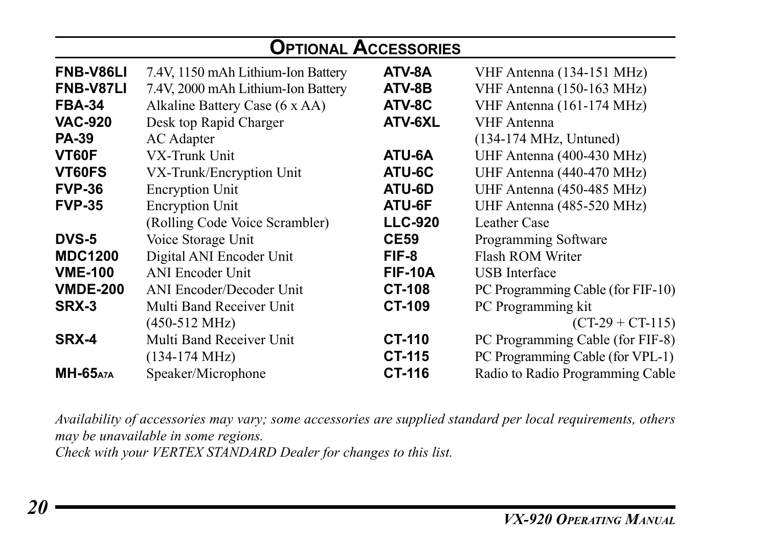| <b>OPTIONAL ACCESSORIES</b> |                                    |                |                                   |  |  |  |  |
|-----------------------------|------------------------------------|----------------|-----------------------------------|--|--|--|--|
| FNB-V86LI                   | 7.4V, 1150 mAh Lithium-Ion Battery | ATV-8A         | VHF Antenna (134-151 MHz)         |  |  |  |  |
| <b>FNB-V87LI</b>            | 7.4V, 2000 mAh Lithium-Ion Battery | ATV-8B         | VHF Antenna (150-163 MHz)         |  |  |  |  |
| <b>FBA-34</b>               | Alkaline Battery Case (6 x AA)     | ATV-8C         | VHF Antenna (161-174 MHz)         |  |  |  |  |
| <b>VAC-920</b>              | Desk top Rapid Charger             | ATV-6XL        | VHF Antenna                       |  |  |  |  |
| <b>PA-39</b>                | <b>AC</b> Adapter                  |                | $(134-174 \text{ MHz}, Untuned)$  |  |  |  |  |
| VT60F                       | VX-Trunk Unit                      | ATU-6A         | UHF Antenna (400-430 MHz)         |  |  |  |  |
| VT60FS                      | VX-Trunk/Encryption Unit           | ATU-6C         | UHF Antenna (440-470 MHz)         |  |  |  |  |
| <b>FVP-36</b>               | <b>Encryption Unit</b>             | ATU-6D         | UHF Antenna (450-485 MHz)         |  |  |  |  |
| <b>FVP-35</b>               | <b>Encryption Unit</b>             | ATU-6F         | UHF Antenna (485-520 MHz)         |  |  |  |  |
|                             | (Rolling Code Voice Scrambler)     | <b>LLC-920</b> | Leather Case                      |  |  |  |  |
| <b>DVS-5</b>                | Voice Storage Unit                 | <b>CE59</b>    | Programming Software              |  |  |  |  |
| <b>MDC1200</b>              | Digital ANI Encoder Unit           | FIF-8          | Flash ROM Writer                  |  |  |  |  |
| <b>VME-100</b>              | <b>ANI Encoder Unit</b>            | <b>FIF-10A</b> | <b>USB</b> Interface              |  |  |  |  |
| <b>VMDE-200</b>             | <b>ANI Encoder/Decoder Unit</b>    | <b>CT-108</b>  | PC Programming Cable (for FIF-10) |  |  |  |  |
| SRX-3                       | Multi Band Receiver Unit           | <b>CT-109</b>  | PC Programming kit                |  |  |  |  |
|                             | $(450-512 \text{ MHz})$            |                | $(CT-29 + CT-115)$                |  |  |  |  |
| SRX-4                       | Multi Band Receiver Unit           | <b>CT-110</b>  | PC Programming Cable (for FIF-8)  |  |  |  |  |
|                             | $(134-174 \text{ MHz})$            | <b>CT-115</b>  | PC Programming Cable (for VPL-1)  |  |  |  |  |
| <b>MH-65</b> A7A            | Speaker/Microphone                 | CT-116         | Radio to Radio Programming Cable  |  |  |  |  |

*Availability of accessories may vary; some accessories are supplied standard per local requirements, others may be unavailable in some regions.*

*Check with your VERTEX STANDARD Dealer for changes to this list.*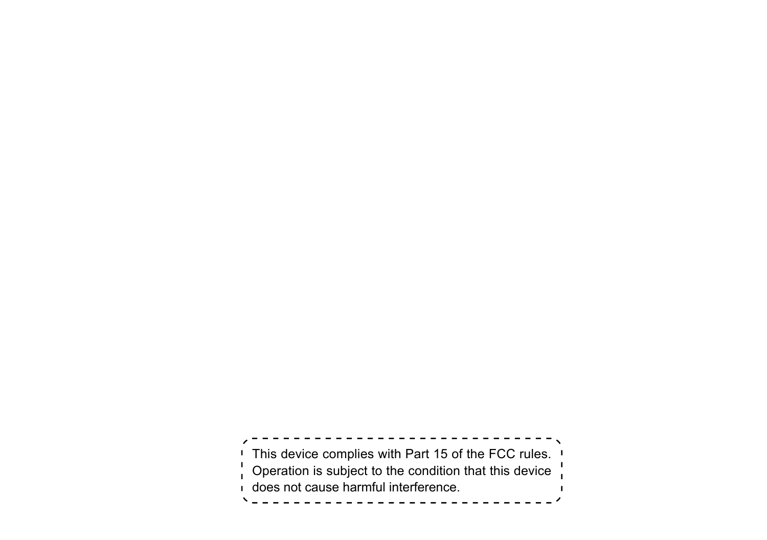This device complies with Part 15 of the FCC rules. Operation is subject to the condition that this device does not cause harmful interference. $\mathbf{I}$ \\_\_\_\_\_\_\_\_\_\_\_\_\_\_\_\_\_\_\_\_\_\_\_\_\_\_\_\_\_\_\_\_\_